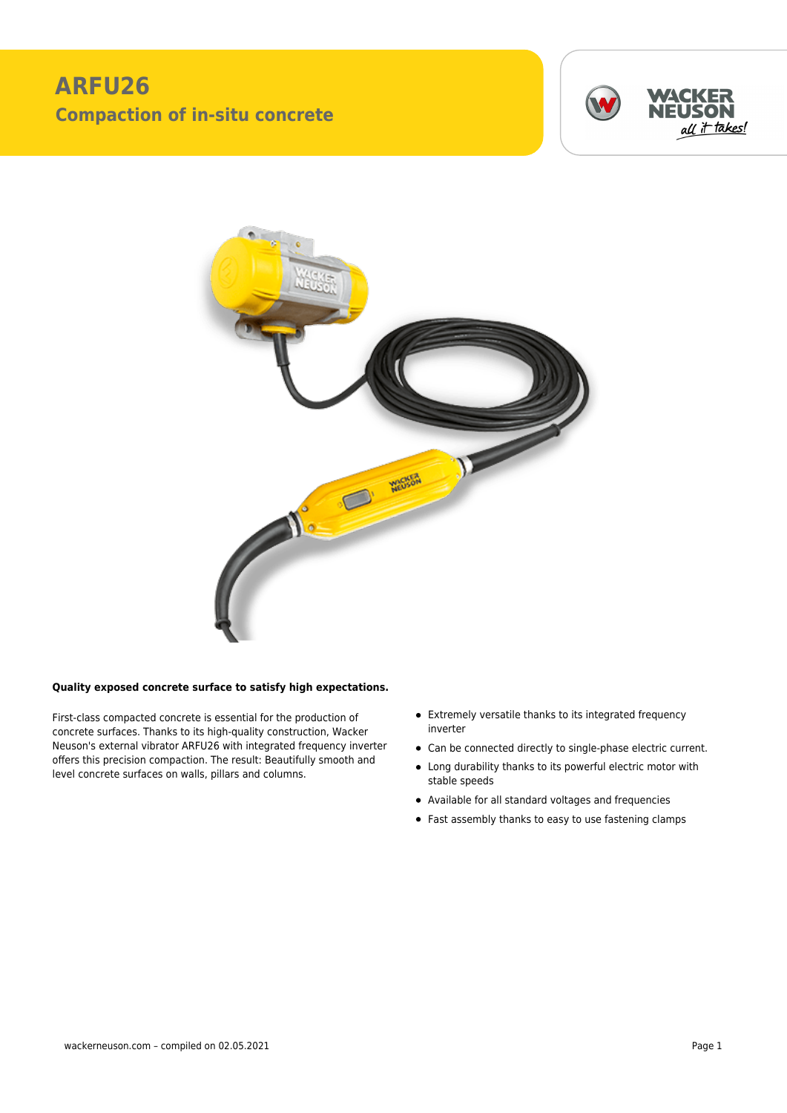## **ARFU26 Compaction of in-situ concrete**





## **Quality exposed concrete surface to satisfy high expectations.**

First-class compacted concrete is essential for the production of concrete surfaces. Thanks to its high-quality construction, Wacker Neuson's external vibrator ARFU26 with integrated frequency inverter offers this precision compaction. The result: Beautifully smooth and level concrete surfaces on walls, pillars and columns.

- Extremely versatile thanks to its integrated frequency inverter
- Can be connected directly to single-phase electric current.
- Long durability thanks to its powerful electric motor with stable speeds
- Available for all standard voltages and frequencies
- Fast assembly thanks to easy to use fastening clamps